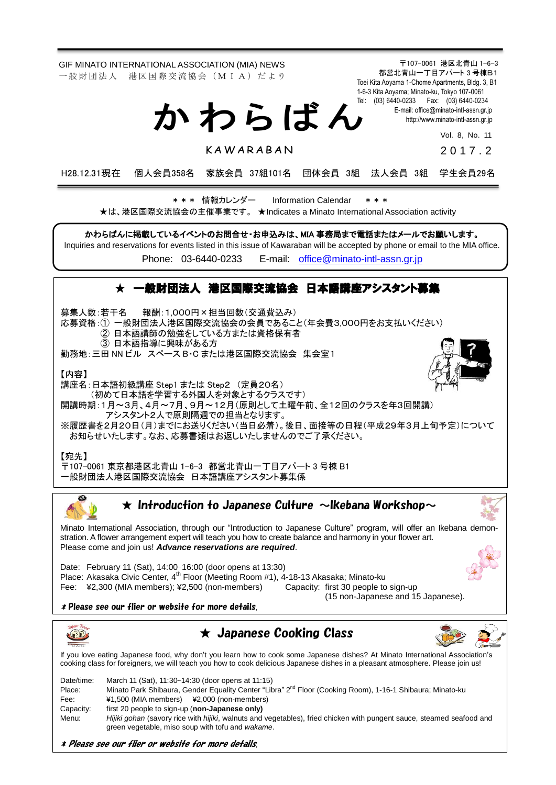GIF MINATO INTERNATIONAL ASSOCIATION (MIA) NEWS 〒107-0061 港区北青山 1-6-3 都営北青山一丁目アパート 3 号棟B1 一 般 財 団 法 人 港 区 国 際 交 流 協 会 (M I A) だ よ り Toei Kita Aoyama 1-Chome Apartments, Bldg. 3, B1 1-6-3 Kita Aoyama; Minato-ku, Tokyo 107-0061 Tel: (03) 6440-0233 Fax: (03) 6440-0234 か わ ら ば ん E-mail[: office@minato-intl-assn.gr.jp](mailto:office@minato-intl-assn.gr.jp) [http://www.minato-intl-assn.gr.jp](http://www.minato-intl-assn.gr.jp/) Vol. 8, No. 11 **KAWARARAN**  $20172$ H28.12.31現在 個人会員358名 家族会員 37組101名 団体会員 3組 法人会員 3組 学生会員29名 \* \* \* 情報カレンダー Information Calendar \* \* \* ★は、港区国際交流協会の主催事業です。 ★Indicates a Minato International Association activity かわらばんに掲載しているイベントのお問合せ・お申込みは、MIA 事務局まで電話またはメールでお願いします。 Inquiries and reservations for events listed in this issue of Kawaraban will be accepted by phone or email to the MIA office. Phone: [03-6440-0233](mailto:TEL:%0903-6440-0233) E-mail: [office@minato-intl-assn.gr.jp](mailto:office@minato-intl-assn.gr.jp) ★ 一般財団法人 港区国際交流協会 日本語講座アシスタント募集 募集人数:若干名 報酬:1,000円×担当回数(交通費込み) 応募資格:① 一般財団法人港区国際交流協会の会員であること(年会費3,000円をお支払いください) ② 日本語講師の勉強をしている方または資格保有者 ③ 日本語指導に興味がある方 勤務地:三田 NN ビル スペース B・C または港区国際交流協会 集会室1 【内容】 講座名:日本語初級講座 Step1 または Step2 (定員20名) (初めて日本語を学習する外国人を対象とするクラスです) 開講時期:1月~3月、4月~7月、9月~12月(原則として土曜午前、全12回のクラスを年3回開講) アシスタント2人で原則隔週での担当となります。 ※履歴書を2月20日(月)までにお送りください(当日必着)。後日、面接等の日程(平成29年3月上旬予定)について お知らせいたします。なお、応募書類はお返しいたしませんのでご了承ください。 【宛先】 〒107-0061 東京都港区北青山 1-6-3 都営北青山一丁目アパート 3 号棟 B1 一般財団法人港区国際交流協会 日本語講座アシスタント募集係  $\infty$  $\bigstar$  Introduction to Japanese Culture  $\sim$ Ikebana Workshop $\sim$ Minato International Association, through our "Introduction to Japanese Culture" program, will offer an Ikebana demonstration. A flower arrangement expert will teach you how to create balance and harmony in your flower art. Please come and join us! *Advance reservations are required*. Date: February 11 (Sat), 14:00–16:00 (door opens at 13:30) Place: Akasaka Civic Center, 4<sup>th</sup> Floor (Meeting Room #1), 4-18-13 Akasaka; Minato-ku<br>Fee: ¥2,300 (MIA members); ¥2,500 (non-members) Capacity: first 30 people to sign-up Fee:  $\frac{42,300}{1}$  (MIA members);  $\frac{42,500}{1}$  (non-members) (15 non-Japanese and 15 Japanese). \* Please see our flier or website for more details.  $\star$  Japanese Cooking Class **OPP** If you love eating Japanese food, why don't you learn how to cook some Japanese dishes? At Minato International Association's cooking class for foreigners, we will teach you how to cook delicious Japanese dishes in a pleasant atmosphere. Please join us! Date/time: March 11 (Sat), 11:30–14:30 (door opens at 11:15) Place: Minato Park Shibaura, Gender Equality Center "Libra" 2<sup>nd</sup> Floor (Cooking Room), 1-16-1 Shibaura; Minato-ku Fee: ¥1,500 (MIA members) ¥2,000 (non-members) Capacity: first 20 people to sign-up (**non-Japanese only)** Menu: *Hijiki gohan* (savory rice with *hijiki*, walnuts and vegetables), fried chicken with pungent sauce, steamed seafood and green vegetable, miso soup with tofu and *wakame*.

\* Please see our flier or website for more details.